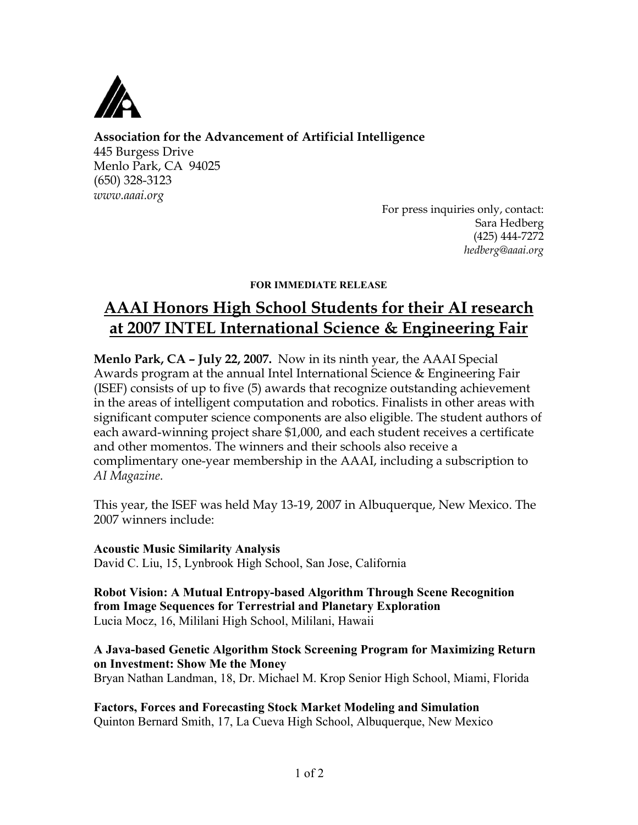

**Association for the Advancement of Artificial Intelligence**

445 Burgess Drive Menlo Park, CA 94025 (650) 328-3123 *www.aaai.org*

For press inquiries only, contact: Sara Hedberg (425) 444-7272 *hedberg@aaai.org*

# FOR IMMEDIATE RELEASE

# **AAAI Honors High School Students for their AI research at 2007 INTEL International Science & Engineering Fair**

**Menlo Park, CA – July 22, 2007.** Now in its ninth year, the AAAI Special Awards program at the annual Intel International Science & Engineering Fair (ISEF) consists of up to five (5) awards that recognize outstanding achievement in the areas of intelligent computation and robotics. Finalists in other areas with significant computer science components are also eligible. The student authors of each award-winning project share \$1,000, and each student receives a certificate and other momentos. The winners and their schools also receive a complimentary one-year membership in the AAAI, including a subscription to *AI Magazine*.

This year, the ISEF was held May 13-19, 2007 in Albuquerque, New Mexico. The 2007 winners include:

Acoustic Music Similarity Analysis David C. Liu, 15, Lynbrook High School, San Jose, California

Robot Vision: A Mutual Entropy-based Algorithm Through Scene Recognition from Image Sequences for Terrestrial and Planetary Exploration Lucia Mocz, 16, Mililani High School, Mililani, Hawaii

# A Java-based Genetic Algorithm Stock Screening Program for Maximizing Return on Investment: Show Me the Money

Bryan Nathan Landman, 18, Dr. Michael M. Krop Senior High School, Miami, Florida

Factors, Forces and Forecasting Stock Market Modeling and Simulation Quinton Bernard Smith, 17, La Cueva High School, Albuquerque, New Mexico